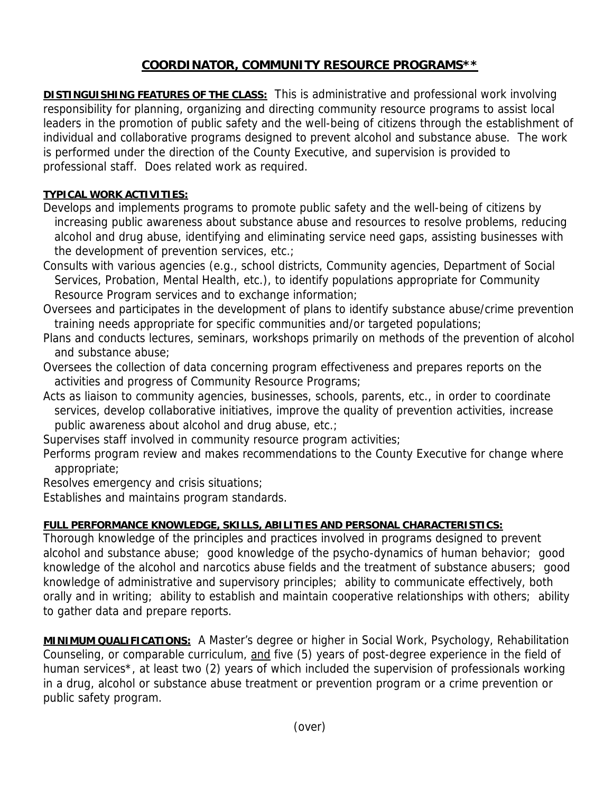## **COORDINATOR, COMMUNITY RESOURCE PROGRAMS\*\***

**DISTINGUISHING FEATURES OF THE CLASS:** This is administrative and professional work involving responsibility for planning, organizing and directing community resource programs to assist local leaders in the promotion of public safety and the well-being of citizens through the establishment of individual and collaborative programs designed to prevent alcohol and substance abuse. The work is performed under the direction of the County Executive, and supervision is provided to professional staff. Does related work as required.

## **TYPICAL WORK ACTIVITIES:**

- Develops and implements programs to promote public safety and the well-being of citizens by increasing public awareness about substance abuse and resources to resolve problems, reducing alcohol and drug abuse, identifying and eliminating service need gaps, assisting businesses with the development of prevention services, etc.;
- Consults with various agencies (e.g., school districts, Community agencies, Department of Social Services, Probation, Mental Health, etc.), to identify populations appropriate for Community Resource Program services and to exchange information;
- Oversees and participates in the development of plans to identify substance abuse/crime prevention training needs appropriate for specific communities and/or targeted populations;
- Plans and conducts lectures, seminars, workshops primarily on methods of the prevention of alcohol and substance abuse;
- Oversees the collection of data concerning program effectiveness and prepares reports on the activities and progress of Community Resource Programs;
- Acts as liaison to community agencies, businesses, schools, parents, etc., in order to coordinate services, develop collaborative initiatives, improve the quality of prevention activities, increase public awareness about alcohol and drug abuse, etc.;

Supervises staff involved in community resource program activities;

Performs program review and makes recommendations to the County Executive for change where appropriate;

Resolves emergency and crisis situations;

Establishes and maintains program standards.

## **FULL PERFORMANCE KNOWLEDGE, SKILLS, ABILITIES AND PERSONAL CHARACTERISTICS:**

Thorough knowledge of the principles and practices involved in programs designed to prevent alcohol and substance abuse; good knowledge of the psycho-dynamics of human behavior; good knowledge of the alcohol and narcotics abuse fields and the treatment of substance abusers; good knowledge of administrative and supervisory principles; ability to communicate effectively, both orally and in writing; ability to establish and maintain cooperative relationships with others; ability to gather data and prepare reports.

**MINIMUM QUALIFICATIONS:** A Master's degree or higher in Social Work, Psychology, Rehabilitation Counseling, or comparable curriculum, and five (5) years of post-degree experience in the field of human services\*, at least two (2) years of which included the supervision of professionals working in a drug, alcohol or substance abuse treatment or prevention program or a crime prevention or public safety program.